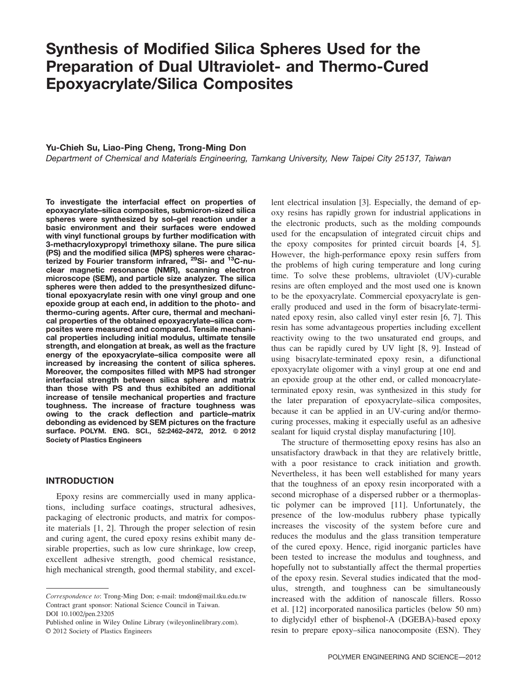# Synthesis of Modified Silica Spheres Used for the Preparation of Dual Ultraviolet- and Thermo-Cured Epoxyacrylate/Silica Composites

## Yu-Chieh Su, Liao-Ping Cheng, Trong-Ming Don

Department of Chemical and Materials Engineering, Tamkang University, New Taipei City 25137, Taiwan

To investigate the interfacial effect on properties of epoxyacrylate–silica composites, submicron-sized silica spheres were synthesized by sol–gel reaction under a basic environment and their surfaces were endowed with vinyl functional groups by further modification with 3-methacryloxypropyl trimethoxy silane. The pure silica (PS) and the modified silica (MPS) spheres were characterized by Fourier transform infrared, <sup>29</sup>Si- and <sup>13</sup>C-nuclear magnetic resonance (NMR), scanning electron microscope (SEM), and particle size analyzer. The silica spheres were then added to the presynthesized difunctional epoxyacrylate resin with one vinyl group and one epoxide group at each end, in addition to the photo- and thermo-curing agents. After cure, thermal and mechanical properties of the obtained epoxyacrylate–silica composites were measured and compared. Tensile mechanical properties including initial modulus, ultimate tensile strength, and elongation at break, as well as the fracture energy of the epoxyacrylate–silica composite were all increased by increasing the content of silica spheres. Moreover, the composites filled with MPS had stronger interfacial strength between silica sphere and matrix than those with PS and thus exhibited an additional increase of tensile mechanical properties and fracture toughness. The increase of fracture toughness was owing to the crack deflection and particle–matrix debonding as evidenced by SEM pictures on the fracture surface. POLYM. ENG. SCI., 52:2462-2472, 2012. © 2012 Society of Plastics Engineers

# INTRODUCTION

Epoxy resins are commercially used in many applications, including surface coatings, structural adhesives, packaging of electronic products, and matrix for composite materials [1, 2]. Through the proper selection of resin and curing agent, the cured epoxy resins exhibit many desirable properties, such as low cure shrinkage, low creep, excellent adhesive strength, good chemical resistance, high mechanical strength, good thermal stability, and excellent electrical insulation [3]. Especially, the demand of epoxy resins has rapidly grown for industrial applications in the electronic products, such as the molding compounds used for the encapsulation of integrated circuit chips and the epoxy composites for printed circuit boards [4, 5]. However, the high-performance epoxy resin suffers from the problems of high curing temperature and long curing time. To solve these problems, ultraviolet (UV)-curable resins are often employed and the most used one is known to be the epoxyacrylate. Commercial epoxyacrylate is generally produced and used in the form of bisacrylate-terminated epoxy resin, also called vinyl ester resin [6, 7]. This resin has some advantageous properties including excellent reactivity owing to the two unsaturated end groups, and thus can be rapidly cured by UV light [8, 9]. Instead of using bisacrylate-terminated epoxy resin, a difunctional epoxyacrylate oligomer with a vinyl group at one end and an epoxide group at the other end, or called monoacrylateterminated epoxy resin, was synthesized in this study for the later preparation of epoxyacrylate–silica composites, because it can be applied in an UV-curing and/or thermocuring processes, making it especially useful as an adhesive sealant for liquid crystal display manufacturing [10].

The structure of thermosetting epoxy resins has also an unsatisfactory drawback in that they are relatively brittle, with a poor resistance to crack initiation and growth. Nevertheless, it has been well established for many years that the toughness of an epoxy resin incorporated with a second microphase of a dispersed rubber or a thermoplastic polymer can be improved [11]. Unfortunately, the presence of the low-modulus rubbery phase typically increases the viscosity of the system before cure and reduces the modulus and the glass transition temperature of the cured epoxy. Hence, rigid inorganic particles have been tested to increase the modulus and toughness, and hopefully not to substantially affect the thermal properties of the epoxy resin. Several studies indicated that the modulus, strength, and toughness can be simultaneously increased with the addition of nanoscale fillers. Rosso et al. [12] incorporated nanosilica particles (below 50 nm) to diglycidyl ether of bisphenol-A (DGEBA)-based epoxy resin to prepare epoxy–silica nanocomposite (ESN). They

Correspondence to: Trong-Ming Don; e-mail: tmdon@mail.tku.edu.tw Contract grant sponsor: National Science Council in Taiwan. DOI 10.1002/pen.23205

Published online in Wiley Online Library (wileyonlinelibrary.com).  $\odot$  2012 Society of Plastics Engineers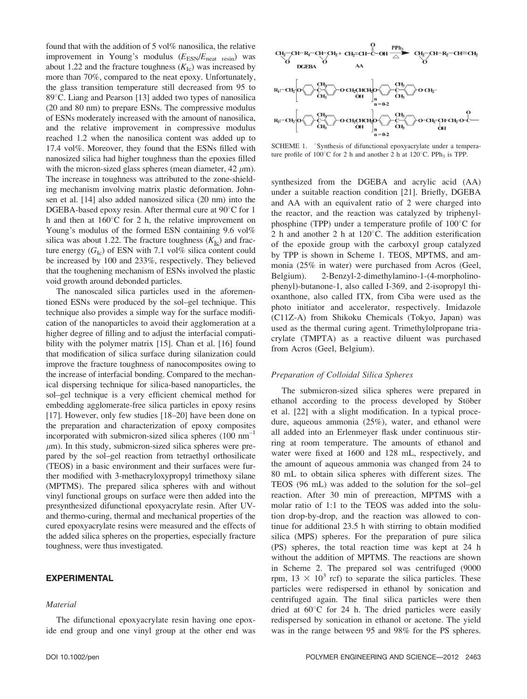found that with the addition of 5 vol% nanosilica, the relative improvement in Young's modulus  $(E_{ESN}/E_{\text{neat}})$  was about 1.22 and the fracture toughness  $(K_{\text{Ic}})$  was increased by more than 70%, compared to the neat epoxy. Unfortunately, the glass transition temperature still decreased from 95 to 89 $^{\circ}$ C. Liang and Pearson [13] added two types of nanosilica (20 and 80 nm) to prepare ESNs. The compressive modulus of ESNs moderately increased with the amount of nanosilica, and the relative improvement in compressive modulus reached 1.2 when the nanosilica content was added up to 17.4 vol%. Moreover, they found that the ESNs filled with nanosized silica had higher toughness than the epoxies filled with the micron-sized glass spheres (mean diameter,  $42 \mu m$ ). The increase in toughness was attributed to the zone-shielding mechanism involving matrix plastic deformation. Johnsen et al. [14] also added nanosized silica (20 nm) into the DGEBA-based epoxy resin. After thermal cure at  $90^{\circ}$ C for 1 h and then at  $160^{\circ}$ C for 2 h, the relative improvement on Young's modulus of the formed ESN containing 9.6 vol<sup>%</sup> silica was about 1.22. The fracture toughness  $(K_{\text{Ic}})$  and fracture energy  $(G_{\text{Ic}})$  of ESN with 7.1 vol% silica content could be increased by 100 and 233%, respectively. They believed that the toughening mechanism of ESNs involved the plastic void growth around debonded particles.

The nanoscaled silica particles used in the aforementioned ESNs were produced by the sol–gel technique. This technique also provides a simple way for the surface modification of the nanoparticles to avoid their agglomeration at a higher degree of filling and to adjust the interfacial compatibility with the polymer matrix [15]. Chan et al. [16] found that modification of silica surface during silanization could improve the fracture toughness of nanocomposites owing to the increase of interfacial bonding. Compared to the mechanical dispersing technique for silica-based nanoparticles, the sol–gel technique is a very efficient chemical method for embedding agglomerate-free silica particles in epoxy resins [17]. However, only few studies [18–20] have been done on the preparation and characterization of epoxy composites incorporated with submicron-sized silica spheres  $(100 \text{ nm}^{-1})$  $\mu$ m). In this study, submicron-sized silica spheres were prepared by the sol–gel reaction from tetraethyl orthosilicate (TEOS) in a basic environment and their surfaces were further modified with 3-methacryloxypropyl trimethoxy silane (MPTMS). The prepared silica spheres with and without vinyl functional groups on surface were then added into the presynthesized difunctional epoxyacrylate resin. After UVand thermo-curing, thermal and mechanical properties of the cured epoxyacrylate resins were measured and the effects of the added silica spheres on the properties, especially fracture toughness, were thus investigated.

# EXPERIMENTAL

## **Material**





SCHEME 1. <sup>o</sup>Synthesis of difunctional epoxyacrylate under a temperature profile of  $100^{\circ}$ C for 2 h and another 2 h at  $120^{\circ}$ C. PPh<sub>3</sub> is TPP.

synthesized from the DGEBA and acrylic acid (AA) under a suitable reaction condition [21]. Briefly, DGEBA and AA with an equivalent ratio of 2 were charged into the reactor, and the reaction was catalyzed by triphenylphosphine (TPP) under a temperature profile of  $100^{\circ}$ C for 2 h and another 2 h at  $120^{\circ}$ C. The addition esterification of the epoxide group with the carboxyl group catalyzed by TPP is shown in Scheme 1. TEOS, MPTMS, and ammonia (25% in water) were purchased from Acros (Geel, Belgium). 2-Benzyl-2-dimethylamino-1-(4-morpholinophenyl)-butanone-1, also called I-369, and 2-isopropyl thioxanthone, also called ITX, from Ciba were used as the photo initiator and accelerator, respectively. Imidazole (C11Z-A) from Shikoku Chemicals (Tokyo, Japan) was used as the thermal curing agent. Trimethylolpropane triacrylate (TMPTA) as a reactive diluent was purchased from Acros (Geel, Belgium).

### Preparation of Colloidal Silica Spheres

The submicron-sized silica spheres were prepared in ethanol according to the process developed by Stöber et al. [22] with a slight modification. In a typical procedure, aqueous ammonia (25%), water, and ethanol were all added into an Erlenmeyer flask under continuous stirring at room temperature. The amounts of ethanol and water were fixed at 1600 and 128 mL, respectively, and the amount of aqueous ammonia was changed from 24 to 80 mL to obtain silica spheres with different sizes. The TEOS (96 mL) was added to the solution for the sol–gel reaction. After 30 min of prereaction, MPTMS with a molar ratio of 1:1 to the TEOS was added into the solution drop-by-drop, and the reaction was allowed to continue for additional 23.5 h with stirring to obtain modified silica (MPS) spheres. For the preparation of pure silica (PS) spheres, the total reaction time was kept at 24 h without the addition of MPTMS. The reactions are shown in Scheme 2. The prepared sol was centrifuged (9000 rpm,  $13 \times 10^3$  rcf) to separate the silica particles. These particles were redispersed in ethanol by sonication and centrifuged again. The final silica particles were then dried at  $60^{\circ}$ C for 24 h. The dried particles were easily redispersed by sonication in ethanol or acetone. The yield was in the range between 95 and 98% for the PS spheres.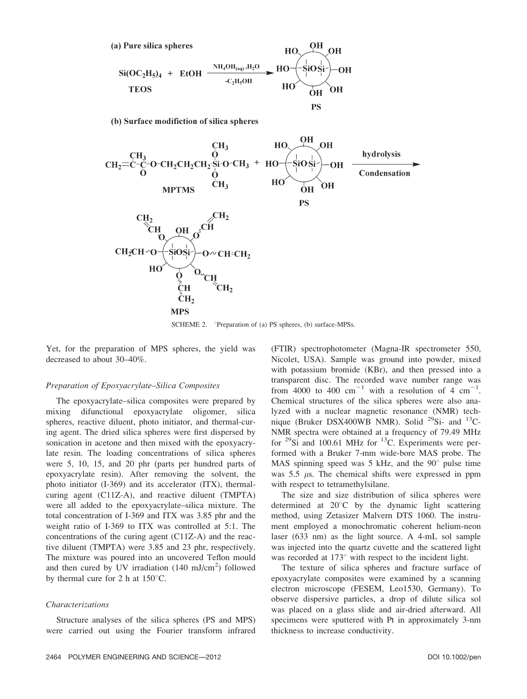

(b) Surface modifiction of silica spheres



SCHEME 2. <sup>o</sup>Preparation of (a) PS spheres, (b) surface-MPSs.

Yet, for the preparation of MPS spheres, the yield was decreased to about 30–40%.

## Preparation of Epoxyacrylate–Silica Composites

The epoxyacrylate–silica composites were prepared by mixing difunctional epoxyacrylate oligomer, silica spheres, reactive diluent, photo initiator, and thermal-curing agent. The dried silica spheres were first dispersed by sonication in acetone and then mixed with the epoxyacrylate resin. The loading concentrations of silica spheres were 5, 10, 15, and 20 phr (parts per hundred parts of epoxyacrylate resin). After removing the solvent, the photo initiator (I-369) and its accelerator (ITX), thermalcuring agent (C11Z-A), and reactive diluent (TMPTA) were all added to the epoxyacrylate–silica mixture. The total concentration of I-369 and ITX was 3.85 phr and the weight ratio of I-369 to ITX was controlled at 5:1. The concentrations of the curing agent (C11Z-A) and the reactive diluent (TMPTA) were 3.85 and 23 phr, respectively. The mixture was poured into an uncovered Teflon mould and then cured by UV irradiation  $(140 \text{ mJ/cm}^2)$  followed by thermal cure for 2 h at  $150^{\circ}$ C.

#### Characterizations

Structure analyses of the silica spheres (PS and MPS) were carried out using the Fourier transform infrared

(FTIR) spectrophotometer (Magna-IR spectrometer 550, Nicolet, USA). Sample was ground into powder, mixed with potassium bromide (KBr), and then pressed into a transparent disc. The recorded wave number range was from 4000 to 400  $\text{cm}^{-1}$  with a resolution of 4  $\text{cm}^{-1}$ . Chemical structures of the silica spheres were also analyzed with a nuclear magnetic resonance (NMR) technique (Bruker DSX400WB NMR). Solid <sup>29</sup>Si- and <sup>13</sup>C-NMR spectra were obtained at a frequency of 79.49 MHz for  $^{29}Si$  and 100.61 MHz for  $^{13}C$ . Experiments were performed with a Bruker 7-mm wide-bore MAS probe. The MAS spinning speed was 5 kHz, and the  $90^{\circ}$  pulse time was  $5.5 \mu s$ . The chemical shifts were expressed in ppm with respect to tetramethylsilane.

The size and size distribution of silica spheres were determined at  $20^{\circ}$ C by the dynamic light scattering method, using Zetasizer Malvern DTS 1060. The instrument employed a monochromatic coherent helium-neon laser (633 nm) as the light source. A 4-mL sol sample was injected into the quartz cuvette and the scattered light was recorded at  $173^{\circ}$  with respect to the incident light.

The texture of silica spheres and fracture surface of epoxyacrylate composites were examined by a scanning electron microscope (FESEM, Leo1530, Germany). To observe dispersive particles, a drop of dilute silica sol was placed on a glass slide and air-dried afterward. All specimens were sputtered with Pt in approximately 3-nm thickness to increase conductivity.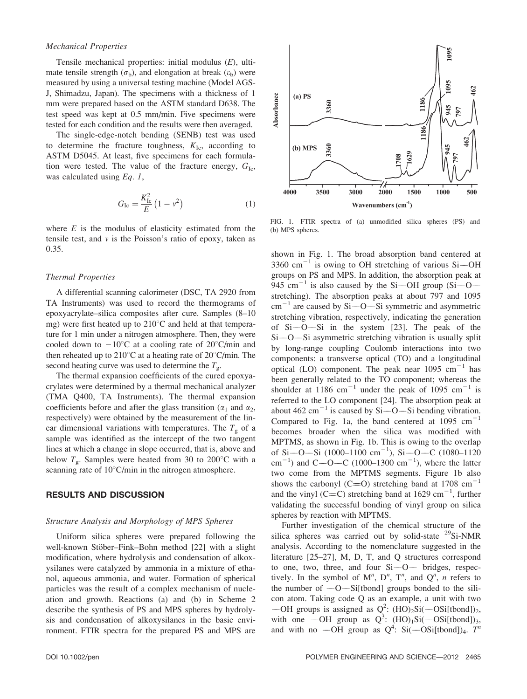## Mechanical Properties

Tensile mechanical properties: initial modulus (E), ultimate tensile strength  $(\sigma_b)$ , and elongation at break  $(\varepsilon_b)$  were measured by using a universal testing machine (Model AGS-J, Shimadzu, Japan). The specimens with a thickness of 1 mm were prepared based on the ASTM standard D638. The test speed was kept at 0.5 mm/min. Five specimens were tested for each condition and the results were then averaged.

The single-edge-notch bending (SENB) test was used to determine the fracture toughness,  $K_{\text{Ic}}$ , according to ASTM D5045. At least, five specimens for each formulation were tested. The value of the fracture energy,  $G_{\text{Ic}}$ , was calculated using *Eq. 1*,

$$
G_{\rm lc} = \frac{K_{\rm lc}^2}{E} \left( 1 - v^2 \right) \tag{1}
$$

where  $E$  is the modulus of elasticity estimated from the tensile test, and  $v$  is the Poisson's ratio of epoxy, taken as 0.35.

#### Thermal Properties

A differential scanning calorimeter (DSC, TA 2920 from TA Instruments) was used to record the thermograms of epoxyacrylate–silica composites after cure. Samples (8–10 mg) were first heated up to  $210^{\circ}$ C and held at that temperature for 1 min under a nitrogen atmosphere. Then, they were cooled down to  $-10^{\circ}$ C at a cooling rate of 20 $^{\circ}$ C/min and then reheated up to  $210^{\circ}$ C at a heating rate of  $20^{\circ}$ C/min. The second heating curve was used to determine the  $T_{\rm g}$ .

The thermal expansion coefficients of the cured epoxyacrylates were determined by a thermal mechanical analyzer (TMA Q400, TA Instruments). The thermal expansion coefficients before and after the glass transition ( $\alpha_1$  and  $\alpha_2$ , respectively) were obtained by the measurement of the linear dimensional variations with temperatures. The  $T<sub>g</sub>$  of a sample was identified as the intercept of the two tangent lines at which a change in slope occurred, that is, above and below  $T_{\rm g}$ . Samples were heated from 30 to 200°C with a scanning rate of  $10^{\circ}$ C/min in the nitrogen atmosphere.

#### RESULTS AND DISCUSSION

#### Structure Analysis and Morphology of MPS Spheres

Uniform silica spheres were prepared following the well-known Stöber–Fink–Bohn method [22] with a slight modification, where hydrolysis and condensation of alkoxysilanes were catalyzed by ammonia in a mixture of ethanol, aqueous ammonia, and water. Formation of spherical particles was the result of a complex mechanism of nucleation and growth. Reactions (a) and (b) in Scheme 2 describe the synthesis of PS and MPS spheres by hydrolysis and condensation of alkoxysilanes in the basic environment. FTIR spectra for the prepared PS and MPS are



FIG. 1. FTIR spectra of (a) unmodified silica spheres (PS) and (b) MPS spheres.

shown in Fig. 1. The broad absorption band centered at 3360 cm<sup>-1</sup> is owing to OH stretching of various Si-OH groups on PS and MPS. In addition, the absorption peak at 945 cm<sup>-1</sup> is also caused by the Si-OH group  $(Si$ -Ostretching). The absorption peaks at about 797 and 1095  $cm^{-1}$  are caused by Si $-$ O $-$ Si symmetric and asymmetric stretching vibration, respectively, indicating the generation of  $Si-O-Si$  in the system [23]. The peak of the  $Si-O-Si$  asymmetric stretching vibration is usually split by long-range coupling Coulomb interactions into two components: a transverse optical (TO) and a longitudinal optical (LO) component. The peak near  $1095 \text{ cm}^{-1}$  has been generally related to the TO component; whereas the shoulder at 1186 cm<sup>-1</sup> under the peak of 1095 cm<sup>-1</sup> is referred to the LO component [24]. The absorption peak at about 462 cm<sup>-1</sup> is caused by Si- $O-Si$  bending vibration. Compared to Fig. 1a, the band centered at  $1095 \text{ cm}^{-1}$ becomes broader when the silica was modified with MPTMS, as shown in Fig. 1b. This is owing to the overlap of Si $-$ O $-$ Si (1000 $-$ 1100 cm<sup>-1</sup>), Si $-$ O $-$ C (1080 $-$ 1120 cm<sup>-1</sup>) and C-O-C (1000-1300 cm<sup>-1</sup>), where the latter two come from the MPTMS segments. Figure 1b also shows the carbonyl (C=O) stretching band at 1708  $cm^{-1}$ and the vinyl  $(C= C)$  stretching band at 1629 cm<sup>-1</sup>, further validating the successful bonding of vinyl group on silica spheres by reaction with MPTMS.

Further investigation of the chemical structure of the silica spheres was carried out by solid-state  $^{29}$ Si-NMR analysis. According to the nomenclature suggested in the literature [25–27], M, D, T, and Q structures correspond to one, two, three, and four  $Si-O$  bridges, respectively. In the symbol of  $M^n$ ,  $D^n$ ,  $T^n$ , and  $Q^n$ , *n* refers to the number of  $-O-Si[$ tbond] groups bonded to the silicon atom. Taking code Q as an example, a unit with two  $-$ OH groups is assigned as Q<sup>2</sup>: (HO)<sub>2</sub>Si( $-$ OSi[tbond])<sub>2</sub>, with one  $-\text{OH}$  group as  $Q^3$ :  $(\text{HO})_1\text{Si}(-\text{OSi}[\text{tbond}])_3$ , and with no  $-OH$  group as  $Q^4$ : Si( $-OSi[tbond]$ )<sub>4</sub>.  $T^n$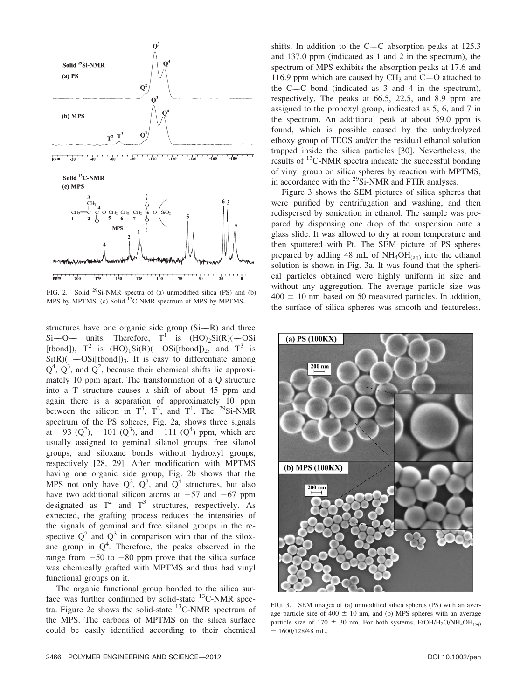

FIG. 2. Solid <sup>29</sup>Si-NMR spectra of (a) unmodified silica (PS) and (b) MPS by MPTMS. (c) Solid <sup>13</sup>C-NMR spectrum of MPS by MPTMS.

structures have one organic side group  $(Si-R)$  and three  $Si-O$  units. Therefore,  $T^1$  is  $(HO)_2Si(R)(-OSi)$ [tbond]),  $T^2$  is  $(HO)_1Si(R)(-OSi[tbond])_2$ , and  $T^3$  is  $Si(R)($  -OSi[tbond])<sub>3</sub>. It is easy to differentiate among  $Q<sup>4</sup>$ ,  $Q<sup>3</sup>$ , and  $Q<sup>2</sup>$ , because their chemical shifts lie approximately 10 ppm apart. The transformation of a Q structure into a T structure causes a shift of about 45 ppm and again there is a separation of approximately 10 ppm between the silicon in  $T^3$ ,  $T^2$ , and  $T^1$ . The <sup>29</sup>Si-NMR spectrum of the PS spheres, Fig. 2a, shows three signals at  $-93$  (Q<sup>2</sup>),  $-101$  (Q<sup>3</sup>), and  $-111$  (Q<sup>4</sup>) ppm, which are usually assigned to geminal silanol groups, free silanol groups, and siloxane bonds without hydroxyl groups, respectively [28, 29]. After modification with MPTMS having one organic side group, Fig. 2b shows that the MPS not only have  $Q^2$ ,  $Q^3$ , and  $Q^4$  structures, but also have two additional silicon atoms at  $-57$  and  $-67$  ppm designated as  $T^2$  and  $T^3$  structures, respectively. As expected, the grafting process reduces the intensities of the signals of geminal and free silanol groups in the respective  $Q^2$  and  $Q^3$  in comparison with that of the siloxane group in  $Q<sup>4</sup>$ . Therefore, the peaks observed in the range from  $-50$  to  $-80$  ppm prove that the silica surface was chemically grafted with MPTMS and thus had vinyl functional groups on it.

The organic functional group bonded to the silica surface was further confirmed by solid-state  $^{13}$ C-NMR spectra. Figure 2c shows the solid-state  $^{13}$ C-NMR spectrum of the MPS. The carbons of MPTMS on the silica surface could be easily identified according to their chemical shifts. In addition to the  $C = C$  absorption peaks at 125.3 and 137.0 ppm (indicated as 1 and 2 in the spectrum), the spectrum of MPS exhibits the absorption peaks at 17.6 and 116.9 ppm which are caused by  $CH<sub>3</sub>$  and  $C=O$  attached to the  $C=$ C bond (indicated as 3 and 4 in the spectrum), respectively. The peaks at 66.5, 22.5, and 8.9 ppm are assigned to the propoxyl group, indicated as 5, 6, and 7 in the spectrum. An additional peak at about 59.0 ppm is found, which is possible caused by the unhydrolyzed ethoxy group of TEOS and/or the residual ethanol solution trapped inside the silica particles [30]. Nevertheless, the results of  $^{13}$ C-NMR spectra indicate the successful bonding of vinyl group on silica spheres by reaction with MPTMS, in accordance with the <sup>29</sup>Si-NMR and FTIR analyses.

Figure 3 shows the SEM pictures of silica spheres that were purified by centrifugation and washing, and then redispersed by sonication in ethanol. The sample was prepared by dispensing one drop of the suspension onto a glass slide. It was allowed to dry at room temperature and then sputtered with Pt. The SEM picture of PS spheres prepared by adding 48 mL of  $NH_4OH_{(aa)}$  into the ethanol solution is shown in Fig. 3a. It was found that the spherical particles obtained were highly uniform in size and without any aggregation. The average particle size was  $400 \pm 10$  nm based on 50 measured particles. In addition, the surface of silica spheres was smooth and featureless.



FIG. 3. SEM images of (a) unmodified silica spheres (PS) with an average particle size of 400  $\pm$  10 nm, and (b) MPS spheres with an average particle size of 170  $\pm$  30 nm. For both systems, EtOH/H<sub>2</sub>O/NH<sub>4</sub>OH<sub>(aq)</sub>  $= 1600/128/48$  mL.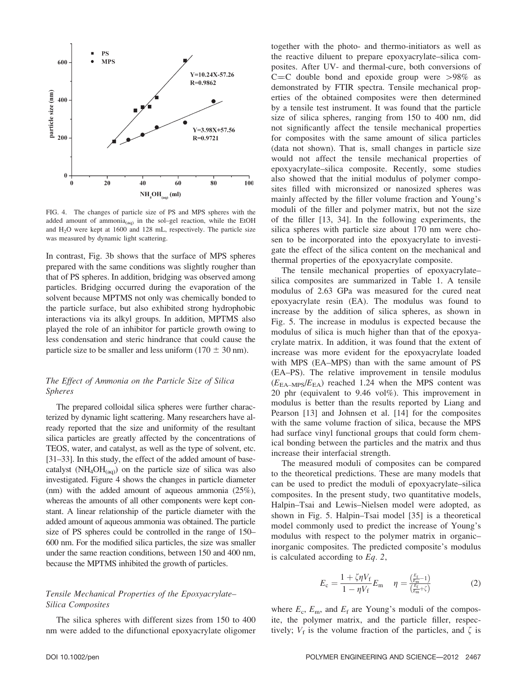

FIG. 4. The changes of particle size of PS and MPS spheres with the added amount of ammonia<sub>(aq)</sub> in the sol-gel reaction, while the EtOH and H2O were kept at 1600 and 128 mL, respectively. The particle size was measured by dynamic light scattering.

In contrast, Fig. 3b shows that the surface of MPS spheres prepared with the same conditions was slightly rougher than that of PS spheres. In addition, bridging was observed among particles. Bridging occurred during the evaporation of the solvent because MPTMS not only was chemically bonded to the particle surface, but also exhibited strong hydrophobic interactions via its alkyl groups. In addition, MPTMS also played the role of an inhibitor for particle growth owing to less condensation and steric hindrance that could cause the particle size to be smaller and less uniform ( $170 \pm 30$  nm).

# The Effect of Ammonia on the Particle Size of Silica Spheres

The prepared colloidal silica spheres were further characterized by dynamic light scattering. Many researchers have already reported that the size and uniformity of the resultant silica particles are greatly affected by the concentrations of TEOS, water, and catalyst, as well as the type of solvent, etc. [31–33]. In this study, the effect of the added amount of basecatalyst ( $NH_4OH_{(aq)}$ ) on the particle size of silica was also investigated. Figure 4 shows the changes in particle diameter (nm) with the added amount of aqueous ammonia (25%), whereas the amounts of all other components were kept constant. A linear relationship of the particle diameter with the added amount of aqueous ammonia was obtained. The particle size of PS spheres could be controlled in the range of 150– 600 nm. For the modified silica particles, the size was smaller under the same reaction conditions, between 150 and 400 nm, because the MPTMS inhibited the growth of particles.

# Tensile Mechanical Properties of the Epoxyacrylate– Silica Composites

The silica spheres with different sizes from 150 to 400 nm were added to the difunctional epoxyacrylate oligomer

together with the photo- and thermo-initiators as well as the reactive diluent to prepare epoxyacrylate–silica composites. After UV- and thermal-cure, both conversions of  $C=$ C double bond and epoxide group were  $>98\%$  as demonstrated by FTIR spectra. Tensile mechanical properties of the obtained composites were then determined by a tensile test instrument. It was found that the particle size of silica spheres, ranging from 150 to 400 nm, did not significantly affect the tensile mechanical properties for composites with the same amount of silica particles (data not shown). That is, small changes in particle size would not affect the tensile mechanical properties of epoxyacrylate–silica composite. Recently, some studies also showed that the initial modulus of polymer composites filled with micronsized or nanosized spheres was mainly affected by the filler volume fraction and Young's moduli of the filler and polymer matrix, but not the size of the filler [13, 34]. In the following experiments, the silica spheres with particle size about 170 nm were chosen to be incorporated into the epoxyacrylate to investigate the effect of the silica content on the mechanical and thermal properties of the epoxyacrylate composite.

The tensile mechanical properties of epoxyacrylate– silica composites are summarized in Table 1. A tensile modulus of 2.63 GPa was measured for the cured neat epoxyacrylate resin (EA). The modulus was found to increase by the addition of silica spheres, as shown in Fig. 5. The increase in modulus is expected because the modulus of silica is much higher than that of the epoxyacrylate matrix. In addition, it was found that the extent of increase was more evident for the epoxyacrylate loaded with MPS (EA–MPS) than with the same amount of PS (EA–PS). The relative improvement in tensile modulus  $(E_{\text{EA-MPS}}/E_{\text{EA}})$  reached 1.24 when the MPS content was 20 phr (equivalent to 9.46 vol%). This improvement in modulus is better than the results reported by Liang and Pearson [13] and Johnsen et al. [14] for the composites with the same volume fraction of silica, because the MPS had surface vinyl functional groups that could form chemical bonding between the particles and the matrix and thus increase their interfacial strength.

The measured moduli of composites can be compared to the theoretical predictions. These are many models that can be used to predict the moduli of epoxyacrylate–silica composites. In the present study, two quantitative models, Halpin–Tsai and Lewis–Nielsen model were adopted, as shown in Fig. 5. Halpin–Tsai model [35] is a theoretical model commonly used to predict the increase of Young's modulus with respect to the polymer matrix in organic– inorganic composites. The predicted composite's modulus is calculated according to  $Eq. 2$ ,

$$
E_{\rm c} = \frac{1 + \zeta \eta V_{\rm f}}{1 - \eta V_{\rm f}} E_{\rm m} \quad \eta = \frac{\frac{E_{\rm f}}{E_{\rm m} - 1}}{\left(\frac{E_{\rm f}}{E_{\rm m} + \zeta}\right)}\tag{2}
$$

where  $E_c$ ,  $E_m$ , and  $E_f$  are Young's moduli of the composite, the polymer matrix, and the particle filler, respectively;  $V_f$  is the volume fraction of the particles, and  $\zeta$  is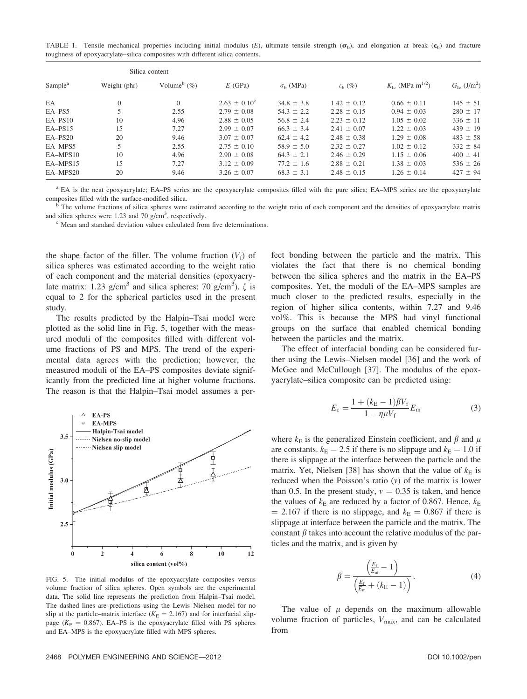TABLE 1. Tensile mechanical properties including initial modulus  $(E)$ , ultimate tensile strength  $(\sigma_b)$ , and elongation at break  $(\epsilon_b)$  and fracture toughness of epoxyacrylate–silica composites with different silica contents.

| Sample <sup>a</sup> | Silica content |                            |                         |                        |                           |                                         |                                     |
|---------------------|----------------|----------------------------|-------------------------|------------------------|---------------------------|-----------------------------------------|-------------------------------------|
|                     | Weight (phr)   | Volume <sup>b</sup> $(\%)$ | $E$ (GPa)               | $\sigma_{\rm b}$ (MPa) | $\varepsilon_{\rm b}$ (%) | $K_{\text{Ic}}$ (MPa m <sup>1/2</sup> ) | $G_{\text{Ic}}$ (J/m <sup>2</sup> ) |
| EA                  | $\Omega$       | $\Omega$                   | $2.63 \pm 0.10^{\circ}$ | $34.8 \pm 3.8$         | $1.42 \pm 0.12$           | $0.66 \pm 0.11$                         | $145 \pm 51$                        |
| EA-PS5              | 5              | 2.55                       | $2.79 \pm 0.08$         | $54.3 \pm 2.2$         | $2.28 \pm 0.15$           | $0.94 \pm 0.03$                         | $280 \pm 17$                        |
| $EA-PS10$           | 10             | 4.96                       | $2.88 \pm 0.05$         | $56.8 \pm 2.4$         | $2.23 \pm 0.12$           | $1.05 \pm 0.02$                         | $336 \pm 11$                        |
| EA-PS15             | 15             | 7.27                       | $2.99 \pm 0.07$         | $66.3 \pm 3.4$         | $2.41 \pm 0.07$           | $1.22 \pm 0.03$                         | $439 \pm 19$                        |
| EA-PS20             | 20             | 9.46                       | $3.07 \pm 0.07$         | $62.4 \pm 4.2$         | $2.48 \pm 0.38$           | $1.29 \pm 0.08$                         | $483 \pm 58$                        |
| EA-MPS5             | 5              | 2.55                       | $2.75 \pm 0.10$         | $58.9 \pm 5.0$         | $2.32 \pm 0.27$           | $1.02 \pm 0.12$                         | $332 \pm 84$                        |
| EA-MPS10            | 10             | 4.96                       | $2.90 \pm 0.08$         | $64.3 \pm 2.1$         | $2.46 \pm 0.29$           | $1.15 \pm 0.06$                         | $400 \pm 41$                        |
| EA-MPS15            | 15             | 7.27                       | $3.12 \pm 0.09$         | $77.2 \pm 1.6$         | $2.88 \pm 0.21$           | $1.38 \pm 0.03$                         | $536 \pm 26$                        |
| EA-MPS20            | 20             | 9.46                       | $3.26 \pm 0.07$         | $68.3 \pm 3.1$         | $2.48 \pm 0.15$           | $1.26 \pm 0.14$                         | $427 \pm 94$                        |

<sup>a</sup> EA is the neat epoxyacrylate; EA–PS series are the epoxyacrylate composites filled with the pure silica; EA–MPS series are the epoxyacrylate composites filled with the surface-modified silica.<br><sup>b</sup> The volume fractions of silica spheres were estimated according to the weight ratio of each component and the densities of epoxyacrylate matrix

and silica spheres were 1.23 and 70  $g/cm<sup>3</sup>$ , respectively.

<sup>c</sup> Mean and standard deviation values calculated from five determinations.

the shape factor of the filler. The volume fraction  $(V_f)$  of silica spheres was estimated according to the weight ratio of each component and the material densities (epoxyacrylate matrix: 1.23 g/cm<sup>3</sup> and silica spheres: 70 g/cm<sup>3</sup>).  $\zeta$  is equal to 2 for the spherical particles used in the present study.

The results predicted by the Halpin–Tsai model were plotted as the solid line in Fig. 5, together with the measured moduli of the composites filled with different volume fractions of PS and MPS. The trend of the experimental data agrees with the prediction; however, the measured moduli of the EA–PS composites deviate significantly from the predicted line at higher volume fractions. The reason is that the Halpin–Tsai model assumes a per-



FIG. 5. The initial modulus of the epoxyacrylate composites versus volume fraction of silica spheres. Open symbols are the experimental data. The solid line represents the prediction from Halpin–Tsai model. The dashed lines are predictions using the Lewis–Nielsen model for no slip at the particle–matrix interface ( $K_{\rm E} = 2.167$ ) and for interfacial slippage ( $K_{\rm E}$  = 0.867). EA–PS is the epoxyacrylate filled with PS spheres and EA–MPS is the epoxyacrylate filled with MPS spheres.

fect bonding between the particle and the matrix. This violates the fact that there is no chemical bonding between the silica spheres and the matrix in the EA–PS composites. Yet, the moduli of the EA–MPS samples are much closer to the predicted results, especially in the region of higher silica contents, within 7.27 and 9.46 vol%. This is because the MPS had vinyl functional groups on the surface that enabled chemical bonding between the particles and the matrix.

The effect of interfacial bonding can be considered further using the Lewis–Nielsen model [36] and the work of McGee and McCullough [37]. The modulus of the epoxyacrylate–silica composite can be predicted using:

$$
E_{\rm c} = \frac{1 + (k_{\rm E} - 1)\beta V_{\rm f}}{1 - \eta \mu V_{\rm f}} E_{\rm m}
$$
 (3)

where  $k<sub>E</sub>$  is the generalized Einstein coefficient, and  $\beta$  and  $\mu$ are constants.  $k_E = 2.5$  if there is no slippage and  $k_E = 1.0$  if there is slippage at the interface between the particle and the matrix. Yet, Nielsen [38] has shown that the value of  $k<sub>E</sub>$  is reduced when the Poisson's ratio  $(v)$  of the matrix is lower than 0.5. In the present study,  $v = 0.35$  is taken, and hence the values of  $k_{\text{E}}$  are reduced by a factor of 0.867. Hence,  $k_{\text{E}}$  $= 2.167$  if there is no slippage, and  $k<sub>E</sub> = 0.867$  if there is slippage at interface between the particle and the matrix. The constant  $\beta$  takes into account the relative modulus of the particles and the matrix, and is given by

$$
\beta = \frac{\left(\frac{E_{\rm f}}{E_{\rm m}} - 1\right)}{\left(\frac{E_{\rm f}}{E_{\rm m}} + (k_{\rm E} - 1)\right)}.\tag{4}
$$

The value of  $\mu$  depends on the maximum allowable volume fraction of particles,  $V_{\text{max}}$ , and can be calculated from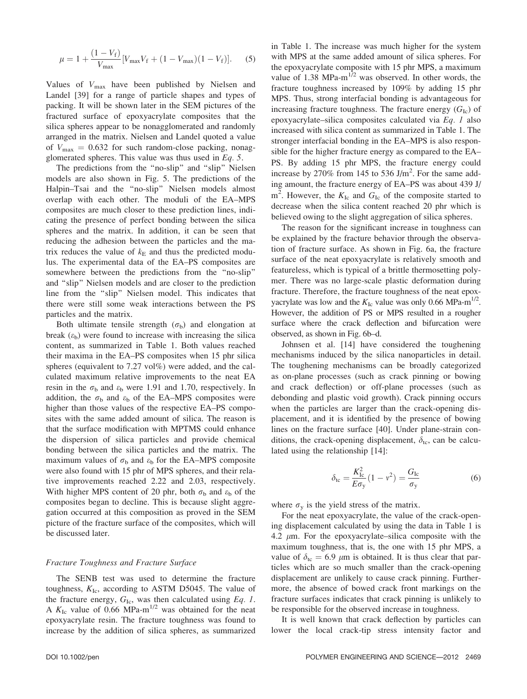$$
\mu = 1 + \frac{(1 - V_{\rm f})}{V_{\rm max}} [V_{\rm max} V_{\rm f} + (1 - V_{\rm max})(1 - V_{\rm f})]. \tag{5}
$$

Values of  $V_{\text{max}}$  have been published by Nielsen and Landel [39] for a range of particle shapes and types of packing. It will be shown later in the SEM pictures of the fractured surface of epoxyacrylate composites that the silica spheres appear to be nonagglomerated and randomly arranged in the matrix. Nielsen and Landel quoted a value of  $V_{\text{max}} = 0.632$  for such random-close packing, nonagglomerated spheres. This value was thus used in  $Eq. 5$ .

The predictions from the "no-slip" and "slip" Nielsen models are also shown in Fig. 5. The predictions of the Halpin–Tsai and the ''no-slip'' Nielsen models almost overlap with each other. The moduli of the EA–MPS composites are much closer to these prediction lines, indicating the presence of perfect bonding between the silica spheres and the matrix. In addition, it can be seen that reducing the adhesion between the particles and the matrix reduces the value of  $k<sub>E</sub>$  and thus the predicted modulus. The experimental data of the EA–PS composites are somewhere between the predictions from the ''no-slip'' and ''slip'' Nielsen models and are closer to the prediction line from the ''slip'' Nielsen model. This indicates that there were still some weak interactions between the PS particles and the matrix.

Both ultimate tensile strength  $(\sigma_b)$  and elongation at break  $(\varepsilon_b)$  were found to increase with increasing the silica content, as summarized in Table 1. Both values reached their maxima in the EA–PS composites when 15 phr silica spheres (equivalent to 7.27 vol%) were added, and the calculated maximum relative improvements to the neat EA resin in the  $\sigma_{\rm b}$  and  $\varepsilon_{\rm b}$  were 1.91 and 1.70, respectively. In addition, the  $\sigma_{\rm b}$  and  $\varepsilon_{\rm b}$  of the EA–MPS composites were higher than those values of the respective EA–PS composites with the same added amount of silica. The reason is that the surface modification with MPTMS could enhance the dispersion of silica particles and provide chemical bonding between the silica particles and the matrix. The maximum values of  $\sigma_{\rm b}$  and  $\varepsilon_{\rm b}$  for the EA–MPS composite were also found with 15 phr of MPS spheres, and their relative improvements reached 2.22 and 2.03, respectively. With higher MPS content of 20 phr, both  $\sigma_{\rm b}$  and  $\varepsilon_{\rm b}$  of the composites began to decline. This is because slight aggregation occurred at this composition as proved in the SEM picture of the fracture surface of the composites, which will be discussed later.

## Fracture Toughness and Fracture Surface

The SENB test was used to determine the fracture toughness,  $K_{\text{Ic}}$ , according to ASTM D5045. The value of the fracture energy,  $G_{\text{Ic}}$ , was then calculated using Eq. 1. A  $K_{\text{Ic}}$  value of 0.66 MPa-m<sup>1/2</sup> was obtained for the neat epoxyacrylate resin. The fracture toughness was found to increase by the addition of silica spheres, as summarized in Table 1. The increase was much higher for the system with MPS at the same added amount of silica spheres. For the epoxyacrylate composite with 15 phr MPS, a maximum value of 1.38 MPa- $m^{1/2}$  was observed. In other words, the fracture toughness increased by 109% by adding 15 phr MPS. Thus, strong interfacial bonding is advantageous for increasing fracture toughness. The fracture energy  $(G<sub>Ic</sub>)$  of epoxyacrylate–silica composites calculated via Eq. 1 also increased with silica content as summarized in Table 1. The stronger interfacial bonding in the EA–MPS is also responsible for the higher fracture energy as compared to the EA– PS. By adding 15 phr MPS, the fracture energy could increase by 270% from 145 to 536 J/m<sup>2</sup>. For the same adding amount, the fracture energy of EA–PS was about 439 J/  $m<sup>2</sup>$ . However, the  $K_{Ic}$  and  $G_{Ic}$  of the composite started to decrease when the silica content reached 20 phr which is believed owing to the slight aggregation of silica spheres.

The reason for the significant increase in toughness can be explained by the fracture behavior through the observation of fracture surface. As shown in Fig. 6a, the fracture surface of the neat epoxyacrylate is relatively smooth and featureless, which is typical of a brittle thermosetting polymer. There was no large-scale plastic deformation during fracture. Therefore, the fracture toughness of the neat epoxyacrylate was low and the  $K_{\text{Ic}}$  value was only 0.66 MPa-m<sup>1/2</sup>. However, the addition of PS or MPS resulted in a rougher surface where the crack deflection and bifurcation were observed, as shown in Fig. 6b–d.

Johnsen et al. [14] have considered the toughening mechanisms induced by the silica nanoparticles in detail. The toughening mechanisms can be broadly categorized as on-plane processes (such as crack pinning or bowing and crack deflection) or off-plane processes (such as debonding and plastic void growth). Crack pinning occurs when the particles are larger than the crack-opening displacement, and it is identified by the presence of bowing lines on the fracture surface [40]. Under plane-strain conditions, the crack-opening displacement,  $\delta_{\text{tc}}$ , can be calculated using the relationship [14]:

$$
\delta_{\rm tc} = \frac{K_{\rm lc}^2}{E\sigma_{\rm y}} (1 - v^2) = \frac{G_{\rm lc}}{\sigma_{\rm y}} \tag{6}
$$

where  $\sigma_y$  is the yield stress of the matrix.

For the neat epoxyacrylate, the value of the crack-opening displacement calculated by using the data in Table 1 is 4.2  $\mu$ m. For the epoxyacrylate–silica composite with the maximum toughness, that is, the one with 15 phr MPS, a value of  $\delta_{\text{tc}} = 6.9 \ \mu \text{m}$  is obtained. It is thus clear that particles which are so much smaller than the crack-opening displacement are unlikely to cause crack pinning. Furthermore, the absence of bowed crack front markings on the fracture surfaces indicates that crack pinning is unlikely to be responsible for the observed increase in toughness.

It is well known that crack deflection by particles can lower the local crack-tip stress intensity factor and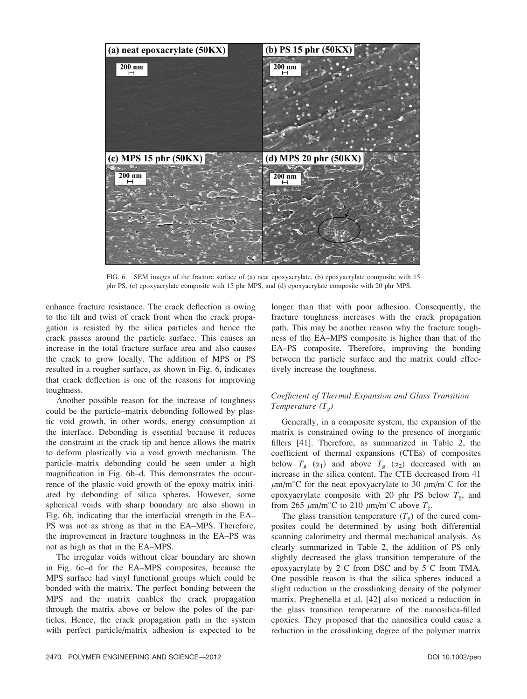

FIG. 6. SEM images of the fracture surface of (a) neat epoxyacrylate, (b) epoxyacrylate composite with 15 phr PS, (c) epoxyacrylate composite with 15 phr MPS, and (d) epoxyacrylate composite with 20 phr MPS.

enhance fracture resistance. The crack deflection is owing to the tilt and twist of crack front when the crack propagation is resisted by the silica particles and hence the crack passes around the particle surface. This causes an increase in the total fracture surface area and also causes the crack to grow locally. The addition of MPS or PS resulted in a rougher surface, as shown in Fig. 6, indicates that crack deflection is one of the reasons for improving toughness.

Another possible reason for the increase of toughness could be the particle–matrix debonding followed by plastic void growth, in other words, energy consumption at the interface. Debonding is essential because it reduces the constraint at the crack tip and hence allows the matrix to deform plastically via a void growth mechanism. The particle–matrix debonding could be seen under a high magnification in Fig. 6b–d. This demonstrates the occurrence of the plastic void growth of the epoxy matrix initiated by debonding of silica spheres. However, some spherical voids with sharp boundary are also shown in Fig. 6b, indicating that the interfacial strength in the EA– PS was not as strong as that in the EA–MPS. Therefore, the improvement in fracture toughness in the EA–PS was not as high as that in the EA–MPS.

The irregular voids without clear boundary are shown in Fig. 6c–d for the EA–MPS composites, because the MPS surface had vinyl functional groups which could be bonded with the matrix. The perfect bonding between the MPS and the matrix enables the crack propagation through the matrix above or below the poles of the particles. Hence, the crack propagation path in the system with perfect particle/matrix adhesion is expected to be

longer than that with poor adhesion. Consequently, the fracture toughness increases with the crack propagation path. This may be another reason why the fracture toughness of the EA–MPS composite is higher than that of the EA–PS composite. Therefore, improving the bonding between the particle surface and the matrix could effectively increase the toughness.

# Coefficient of Thermal Expansion and Glass Transition Temperature  $(T_g)$

Generally, in a composite system, the expansion of the matrix is constrained owing to the presence of inorganic fillers [41]. Therefore, as summarized in Table 2, the coefficient of thermal expansions (CTEs) of composites below  $T_g$  ( $\alpha_1$ ) and above  $T_g$  ( $\alpha_2$ ) decreased with an increase in the silica content. The CTE decreased from 41  $\mu$ m/m<sup>o</sup>C for the neat epoxyacrylate to 30  $\mu$ m/m<sup>o</sup>C for the epoxyacrylate composite with 20 phr PS below  $T_{g}$ , and from 265  $\mu$ m/m<sup>o</sup>C to 210  $\mu$ m/m<sup>o</sup>C above  $T_g$ .

The glass transition temperature  $(T_g)$  of the cured composites could be determined by using both differential scanning calorimetry and thermal mechanical analysis. As clearly summarized in Table 2, the addition of PS only slightly decreased the glass transition temperature of the epoxyacrylate by  $2^{\circ}$ C from DSC and by  $5^{\circ}$ C from TMA. One possible reason is that the silica spheres induced a slight reduction in the crosslinking density of the polymer matrix. Preghenella et al. [42] also noticed a reduction in the glass transition temperature of the nanosilica-filled epoxies. They proposed that the nanosilica could cause a reduction in the crosslinking degree of the polymer matrix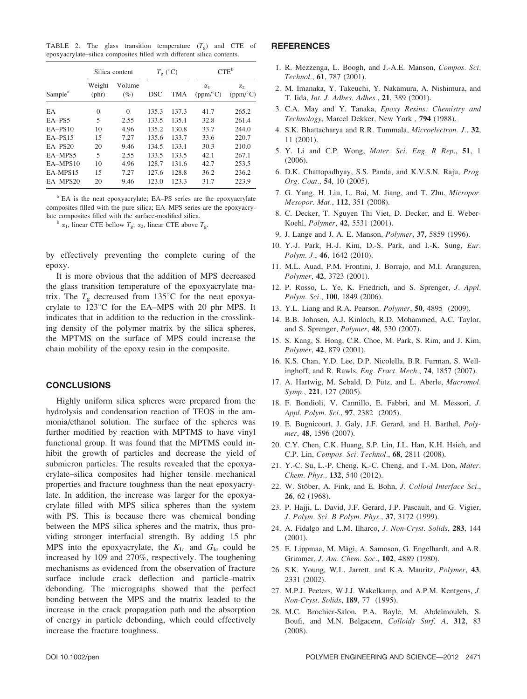TABLE 2. The glass transition temperature  $(T<sub>g</sub>)$  and CTE of epoxyacrylate–silica composites filled with different silica contents.

|                     | Silica content           |               | $T_{\rm g}$ (°C) |       | CTE <sup>b</sup>       |                          |
|---------------------|--------------------------|---------------|------------------|-------|------------------------|--------------------------|
| Sample <sup>a</sup> | Weight<br>$(\text{phr})$ | Volume<br>(%) | <b>DSC</b>       | TMA   | $\alpha_1$<br>(ppm/°C) | $\alpha_{2}$<br>(ppm/°C) |
| EA                  | $\overline{0}$           | $\Omega$      | 135.3            | 137.3 | 41.7                   | 265.2                    |
| EA-PS5              | 5                        | 2.55          | 133.5            | 135.1 | 32.8                   | 261.4                    |
| $EA-PS10$           | 10                       | 4.96          | 135.2            | 130.8 | 33.7                   | 244.0                    |
| $EA-PS15$           | 15                       | 7.27          | 135.6            | 133.7 | 33.6                   | 220.7                    |
| $EA-PS20$           | 20                       | 9.46          | 134.5            | 133.1 | 30.3                   | 210.0                    |
| EA-MPS5             | 5                        | 2.55          | 133.5            | 133.5 | 42.1                   | 267.1                    |
| EA-MPS10            | 10                       | 4.96          | 128.7            | 131.6 | 42.7                   | 253.5                    |
| EA-MPS15            | 15                       | 7.27          | 127.6            | 128.8 | 36.2                   | 236.2                    |
| EA-MPS20            | 20                       | 9.46          | 123.0            | 123.3 | 31.7                   | 223.9                    |

<sup>a</sup> EA is the neat epoxyacrylate; EA–PS series are the epoxyacrylate composites filled with the pure silica; EA–MPS series are the epoxyacrylate composites filled with the surface-modified silica.

 $\sigma$   $\alpha_1$ , linear CTE bellow  $T_g$ ;  $\alpha_2$ , linear CTE above  $T_g$ .

by effectively preventing the complete curing of the epoxy.

It is more obvious that the addition of MPS decreased the glass transition temperature of the epoxyacrylate matrix. The  $T_g$  decreased from 135°C for the neat epoxyacrylate to  $123^{\circ}$ C for the EA–MPS with 20 phr MPS. It indicates that in addition to the reduction in the crosslinking density of the polymer matrix by the silica spheres, the MPTMS on the surface of MPS could increase the chain mobility of the epoxy resin in the composite.

## **CONCLUSIONS**

Highly uniform silica spheres were prepared from the hydrolysis and condensation reaction of TEOS in the ammonia/ethanol solution. The surface of the spheres was further modified by reaction with MPTMS to have vinyl functional group. It was found that the MPTMS could inhibit the growth of particles and decrease the yield of submicron particles. The results revealed that the epoxyacrylate–silica composites had higher tensile mechanical properties and fracture toughness than the neat epoxyacrylate. In addition, the increase was larger for the epoxyacrylate filled with MPS silica spheres than the system with PS. This is because there was chemical bonding between the MPS silica spheres and the matrix, thus providing stronger interfacial strength. By adding 15 phr MPS into the epoxyacrylate, the  $K_{\text{Ic}}$  and  $G_{\text{Ic}}$  could be increased by 109 and 270%, respectively. The toughening mechanisms as evidenced from the observation of fracture surface include crack deflection and particle–matrix debonding. The micrographs showed that the perfect bonding between the MPS and the matrix leaded to the increase in the crack propagation path and the absorption of energy in particle debonding, which could effectively increase the fracture toughness.

## REFERENCES

- 1. R. Mezzenga, L. Boogh, and J.-A.E. Manson, Compos. Sci. Technol., 61, 787 (2001).
- 2. M. Imanaka, Y. Takeuchi, Y. Nakamura, A. Nishimura, and T. Iida, Int. J. Adhes. Adhes., 21, 389 (2001).
- 3. C.A. May and Y. Tanaka, Epoxy Resins: Chemistry and Technology, Marcel Dekker, New York , 794 (1988).
- 4. S.K. Bhattacharya and R.R. Tummala, Microelectron. J., 32, 11 (2001).
- 5. Y. Li and C.P. Wong, Mater. Sci. Eng. R Rep., 51, 1 (2006).
- 6. D.K. Chattopadhyay, S.S. Panda, and K.V.S.N. Raju, Prog. Org. Coat., 54, 10 (2005).
- 7. G. Yang, H. Liu, L. Bai, M. Jiang, and T. Zhu, Micropor. Mesopor. Mat., 112, 351 (2008).
- 8. C. Decker, T. Nguyen Thi Viet, D. Decker, and E. Weber-Koehl, Polymer, 42, 5531 (2001).
- 9. J. Lange and J. A. E. Manson, Polymer, 37, 5859 (1996).
- 10. Y.-J. Park, H.-J. Kim, D.-S. Park, and I.-K. Sung, Eur. Polym. J., **46**, 1642 (2010).
- 11. M.L. Auad, P.M. Frontini, J. Borrajo, and M.I. Aranguren, Polymer, 42, 3723 (2001).
- 12. P. Rosso, L. Ye, K. Friedrich, and S. Sprenger, J. Appl. Polym. Sci., **100**, 1849 (2006).
- 13. Y.L. Liang and R.A. Pearson. Polymer, 50, 4895 (2009).
- 14. B.B. Johnsen, A.J. Kinloch, R.D. Mohammed, A.C. Taylor, and S. Sprenger, Polymer, 48, 530 (2007).
- 15. S. Kang, S. Hong, C.R. Choe, M. Park, S. Rim, and J. Kim, Polymer, 42, 879 (2001).
- 16. K.S. Chan, Y.D. Lee, D.P. Nicolella, B.R. Furman, S. Wellinghoff, and R. Rawls, Eng. Fract. Mech., 74, 1857 (2007).
- 17. A. Hartwig, M. Sebald, D. Pütz, and L. Aberle, Macromol. Symp., 221, 127 (2005).
- 18. F. Bondioli, V. Cannillo, E. Fabbri, and M. Messori, J. Appl. Polym. Sci., 97, 2382 (2005).
- 19. E. Bugnicourt, J. Galy, J.F. Gerard, and H. Barthel, Polymer, 48, 1596 (2007).
- 20. C.Y. Chen, C.K. Huang, S.P. Lin, J.L. Han, K.H. Hsieh, and C.P. Lin, Compos. Sci. Technol., 68, 2811 (2008).
- 21. Y.-C. Su, L.-P. Cheng, K.-C. Cheng, and T.-M. Don, Mater. Chem. Phys., 132, 540 (2012).
- 22. W. Stöber, A. Fink, and E. Bohn, J. Colloid Interface Sci., 26, 62 (1968).
- 23. P. Hajji, L. David, J.F. Gerard, J.P. Pascault, and G. Vigier, J. Polym. Sci. B Polym. Phys., 37, 3172 (1999).
- 24. A. Fidalgo and L.M. Ilharco, J. Non-Cryst. Solids, 283, 144 (2001).
- 25. E. Lippmaa, M. Mägi, A. Samoson, G. Engelhardt, and A.R. Grimmer, J. Am. Chem. Soc., 102, 4889 (1980).
- 26. S.K. Young, W.L. Jarrett, and K.A. Mauritz, Polymer, 43, 2331 (2002).
- 27. M.P.J. Peeters, W.J.J. Wakelkamp, and A.P.M. Kentgens, J. Non-Cryst. Solids, 189, 77 (1995).
- 28. M.C. Brochier-Salon, P.A. Bayle, M. Abdelmouleh, S. Boufi, and M.N. Belgacem, Colloids Surf. A, 312, 83 (2008).